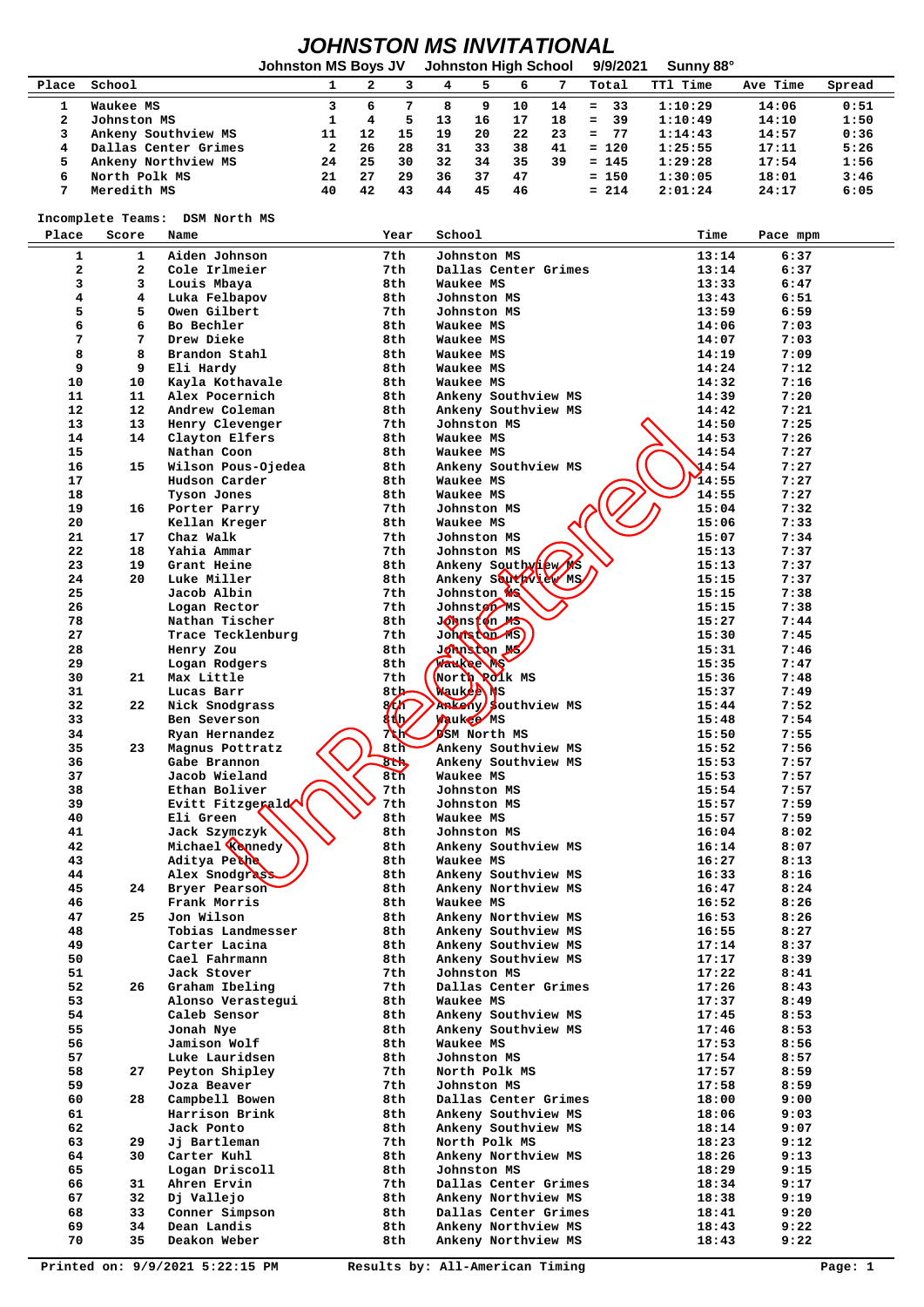## *JOHNSTON MS INVITATIONAL*

|       |                      | <b>Johnston MS Boys JV</b> |     |    | <b>Johnston High School</b> |    |    |    | 9/9/2021   | Sunny 88°       |          |        |
|-------|----------------------|----------------------------|-----|----|-----------------------------|----|----|----|------------|-----------------|----------|--------|
| Place | School               |                            |     |    | 4                           |    | 6  |    | Total      | <b>TT1 Time</b> | Ave Time | Spread |
|       | Waukee MS            |                            | 6   |    |                             |    | 10 | 14 | 33<br>$=$  | 1:10:29         | 14:06    | 0:51   |
|       | Johnston MS          |                            | 4   | 5. | 13                          | 16 | 17 | 18 | -39<br>$=$ | 1:10:49         | 14:10    | 1:50   |
|       | Ankeny Southview MS  |                            | 12  | 15 | 19                          | 20 | 22 | 23 | -77<br>$=$ | 1:14:43         | 14:57    | 0:36   |
|       | Dallas Center Grimes | 2                          | 26  | 28 | 31                          | 33 | 38 | 41 | $= 120$    | 1:25:55         | 17:11    | 5:26   |
|       | Ankeny Northview MS  | 24                         | 25  | 30 | 32                          | 34 | 35 | 39 | $= 145$    | 1:29:28         | 17:54    | 1:56   |
| 6     | North Polk MS        | 21                         | 2.7 | 29 | 36                          | 37 | 47 |    | $= 150$    | 1:30:05         | 18:01    | 3:46   |
|       | Meredith MS          | 40                         | 42  | 43 | 44                          | 45 | 46 |    | $= 214$    | 2:01:24         | 24:17    | 6:05   |

 **Incomplete Teams: DSM North MS**

| Place                   | Score        | Name                                | Year                 | School                           | Time           | Pace mpm     |
|-------------------------|--------------|-------------------------------------|----------------------|----------------------------------|----------------|--------------|
| 1                       | 1            | Aiden Johnson                       | 7th                  | Johnston MS                      | 13:14          | 6:37         |
| $\overline{\mathbf{2}}$ | $\mathbf{z}$ | Cole Irlmeier                       | 7th.                 | Dallas Center Grimes             | 13:14          | 6:37         |
| 3                       | 3            | Louis Mbaya                         | 8th                  | Waukee MS                        | 13:33          | 6:47         |
| 4                       | 4            | Luka Felbapov                       | 8th                  | Johnston MS                      | 13:43          | 6:51         |
| 5                       | 5            | Owen Gilbert                        | 7th                  | Johnston MS                      | 13:59          | 6:59         |
| 6                       | 6            | Bo Bechler                          | 8th                  | Waukee MS                        | 14:06          | 7:03         |
| 7                       | 7            | Drew Dieke                          | 8th                  | Waukee MS                        | 14:07          | 7:03         |
| 8                       | 8            | Brandon Stahl                       | 8th                  | Waukee MS                        | 14:19          | 7:09         |
| 9                       | 9<br>10      | Eli Hardy                           | 8th<br>8th           | Waukee MS<br>Waukee MS           | 14:24<br>14:32 | 7:12<br>7:16 |
| 10<br>11                | 11           | Kayla Kothavale<br>Alex Pocernich   | 8th                  | Ankeny Southview MS              | 14:39          | 7:20         |
| 12                      | $12 \,$      | Andrew Coleman                      | 8th                  | Ankeny Southview MS              | 14:42          | 7:21         |
| 13                      | 13           | Henry Clevenger                     | 7th                  | Johnston MS                      | 14:50          | 7:25         |
| 14                      | 14           | Clayton Elfers                      | 8th                  | Waukee MS                        | 14:53          | 7:26         |
| 15                      |              | Nathan Coon                         | 8th                  | Waukee MS                        | 14:54          | 7:27         |
| 16                      | 15           | Wilson Pous-Ojedea                  | 8th                  | Ankeny Southview MS              | 14:54          | 7:27         |
| 17                      |              | Hudson Carder                       | 8th                  | Waukee MS                        | 14:55          | 7:27         |
| 18                      |              | Tyson Jones                         | 8th                  | Waukee MS                        | 14:55          | 7:27         |
| 19                      | 16           | Porter Parry                        | 7th                  | Johnston MS                      | 15:04          | 7:32         |
| 20                      |              | Kellan Kreger                       | 8th                  | Waukee MS                        | 15:06          | 7:33         |
| 21                      | 17           | Chaz Walk                           | 7th                  | Johnston MS                      | 15:07          | 7:34         |
| 22                      | 18           | Yahia Ammar                         | 7th                  | Johnston MS                      | 15:13          | 7:37         |
| 23                      | 19           | Grant Heine                         | 8th                  | Ankeny Southvilew MS             | 15:13          | 7:37         |
| 24                      | 20           | Luke Miller                         | 8th                  | Ankeny Southview MS              | 15:15          | 7:37         |
| 25                      |              | Jacob Albin                         | 7th                  | Johnston <b>W</b>                | 15:15          | 7:38         |
| 26<br>78                |              | Logan Rector                        | 7th                  | Johnston MS                      | 15:15<br>15:27 | 7:38         |
| 27                      |              | Nathan Tischer<br>Trace Tecklenburg | 8th<br>7th           | Johnston Me<br>Johnston MS       | 15:30          | 7:44<br>7:45 |
| 28                      |              | Henry Zou                           | 8th                  | Johnsbon Mg                      | 15:31          | 7:46         |
| 29                      |              | Logan Rodgers                       | 8th                  | <b>Paukee NS</b>                 | 15:35          | 7:47         |
| 30                      | 21           | Max Little                          | 7th                  | North Polk MS                    | 15:36          | 7:48         |
| 31                      |              | Lucas Barr                          | 8th                  | Wauk <b>ea</b> WS                | 15:37          | 7:49         |
| 32                      | 22           | Nick Snodgrass                      | $\sqrt[3]{\sqrt{2}}$ | Ankeny southview MS              | 15:44          | 7:52         |
| 33                      |              | Ben Severson                        | 4th,                 | <b>Maukee</b> MS                 | 15:48          | 7:54         |
| 34                      |              | Ryan Hernandez                      | XX                   | <b>DSM North MS</b>              | 15:50          | 7:55         |
| 35                      | 23           | Magnus Pottratz                     | 8t                   | Ankeny Southview MS              | 15:52          | 7:56         |
| 36                      |              | Gabe Brannon                        | $\frac{1}{1}$        | Ankeny Southview MS              | 15:53          | 7:57         |
| 37                      |              | Jacob Wieland                       | 8 <sub>th</sub>      | Waukee MS                        | 15:53          | 7:57         |
| 38                      |              | Ethan Boliver                       | 7th                  | Johnston MS                      | 15:54          | 7:57         |
| 39                      |              | Evitt Fitzgerald                    | 7th                  | Johnston MS                      | 15:57          | 7:59         |
| 40                      |              | Eli Green                           | 8th                  | Waukee MS                        | 15:57          | 7:59         |
| 41                      |              | Jack Szymczyk                       | 8th                  | Johnston MS                      | 16:04          | 8:02         |
| 42<br>43                |              | Michael Kannedy<br>Aditya Petha     | 8th<br>8th           | Ankeny Southview MS<br>Waukee MS | 16:14<br>16:27 | 8:07<br>8:13 |
| 44                      |              | Alex Snodgrass                      | 8th                  | Ankeny Southview MS              | 16:33          | 8:16         |
| 45                      | 24           | Bryer Pearson                       | 8th                  | Ankeny Northview MS              | 16:47          | 8:24         |
| 46                      |              | Frank Morris                        | 8th                  | Waukee MS                        | 16:52          | 8:26         |
| 47                      | 25           | Jon Wilson                          | 8th                  | Ankeny Northview MS              | 16:53          | 8:26         |
| 48                      |              | Tobias Landmesser                   | 8th                  | Ankeny Southview MS              | 16:55          | 8:27         |
| 49                      |              | Carter Lacina                       | 8th                  | Ankeny Southview MS              | 17:14          | 8:37         |
| 50                      |              | Cael Fahrmann                       | 8th                  | Ankeny Southview MS              | 17:17          | 8:39         |
| 51                      |              | Jack Stover                         | 7th                  | Johnston MS                      | 17:22          | 8:41         |
| 52                      | 26           | Graham Ibeling                      | 7th                  | Dallas Center Grimes             | 17:26          | 8:43         |
| 53                      |              | Alonso Verastegui                   | 8th                  | Waukee MS                        | 17:37          | 8:49         |
| 54                      |              | Caleb Sensor                        | 8th                  | Ankeny Southview MS              | 17:45          | 8:53         |
| 55                      |              | Jonah Nye                           | 8th                  | Ankeny Southview MS              | 17:46          | 8:53         |
| 56                      |              | Jamison Wolf                        | 8th                  | Waukee MS                        | 17:53          | 8:56         |
| 57<br>58                | 27           | Luke Lauridsen<br>Peyton Shipley    | 8th<br>7th           | Johnston MS<br>North Polk MS     | 17:54<br>17:57 | 8:57<br>8:59 |
| 59                      |              | Joza Beaver                         | 7th                  | Johnston MS                      |                | 8:59         |
| 60                      | 28           | Campbell Bowen                      | 8th                  | Dallas Center Grimes             | 17:58<br>18:00 | 9:00         |
| 61                      |              | Harrison Brink                      | 8th                  | Ankeny Southview MS              | 18:06          | 9:03         |
| 62                      |              | Jack Ponto                          | 8th                  | Ankeny Southview MS              | 18:14          | 9:07         |
| 63                      | 29           | Jj Bartleman                        | 7th                  | North Polk MS                    | 18:23          | 9:12         |
| 64                      | 30           | Carter Kuhl                         | 8th                  | Ankeny Northview MS              | 18:26          | 9:13         |
| 65                      |              | Logan Driscoll                      | 8th                  | Johnston MS                      | 18:29          | 9:15         |
| 66                      | 31           | Ahren Ervin                         | 7th                  | Dallas Center Grimes             | 18:34          | 9:17         |
| 67                      | 32           | Dj Vallejo                          | 8th                  | Ankeny Northview MS              | 18:38          | 9:19         |
| 68                      | 33           | Conner Simpson                      | 8th                  | Dallas Center Grimes             | 18:41          | 9:20         |
| 69                      | 34           | Dean Landis                         | 8th                  | Ankeny Northview MS              | 18:43          | 9:22         |
| 70                      | 35           | Deakon Weber                        | 8th                  | Ankeny Northview MS              | 18:43          | 9:22         |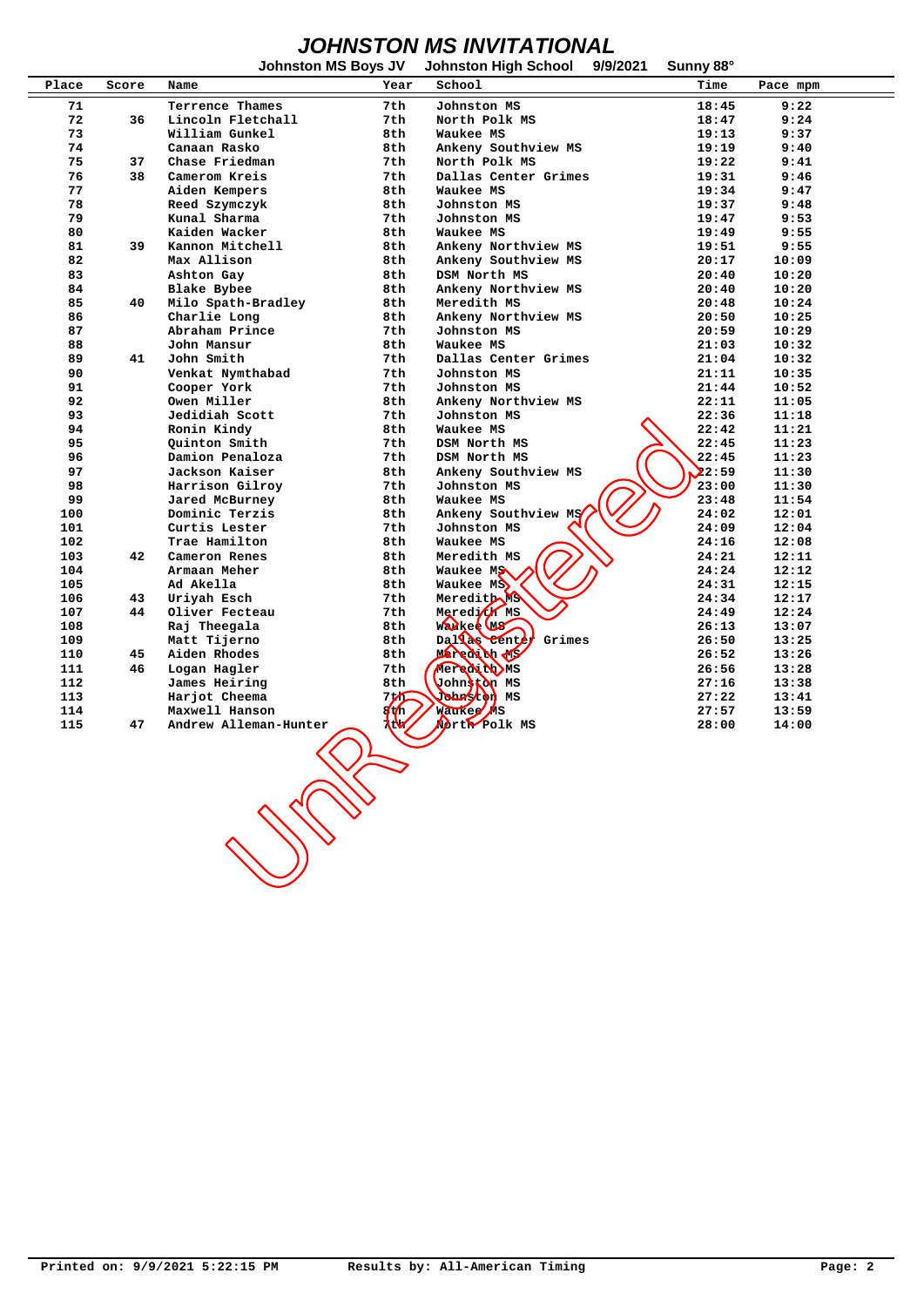## *JOHNSTON MS INVITATIONAL*

|       |       | <b>Johnston MS Boys JV</b> |      | <b>Johnston High School</b>          | 9/9/2021 | Sunny 88° |          |
|-------|-------|----------------------------|------|--------------------------------------|----------|-----------|----------|
| Place | Score | Name                       | Year | School                               |          | Time      | Pace mpm |
| 71    |       | Terrence Thames            | 7th  | Johnston MS                          |          | 18:45     | 9:22     |
| 72    | 36    | Lincoln Fletchall          | 7th  | North Polk MS                        |          | 18:47     | 9:24     |
| 73    |       | William Gunkel             | 8th  | Waukee MS                            |          | 19:13     | 9:37     |
| 74    |       | Canaan Rasko               | 8th  |                                      |          |           |          |
|       |       | Chase Friedman             |      | Ankeny Southview MS<br>North Polk MS |          | 19:19     | 9:40     |
| 75    | 37    |                            | 7th  |                                      |          | 19:22     | 9:41     |
| 76    | 38    | Camerom Kreis              | 7th  | Dallas Center Grimes                 |          | 19:31     | 9:46     |
| 77    |       | Aiden Kempers              | 8th  | Waukee MS                            |          | 19:34     | 9:47     |
| 78    |       | Reed Szymczyk              | 8th  | Johnston MS                          |          | 19:37     | 9:48     |
| 79    |       | Kunal Sharma               | 7th  | Johnston MS                          |          | 19:47     | 9:53     |
| 80    |       | Kaiden Wacker              | 8th  | Waukee MS                            |          | 19:49     | 9:55     |
| 81    | 39    | Kannon Mitchell            | 8th  | Ankeny Northview MS                  |          | 19:51     | 9:55     |
| 82    |       | Max Allison                | 8th  | Ankeny Southview MS                  |          | 20:17     | 10:09    |
| 83    |       | Ashton Gay                 | 8th  | DSM North MS                         |          | 20:40     | 10:20    |
| 84    |       | Blake Bybee                | 8th  | Ankeny Northview MS                  |          | 20:40     | 10:20    |
| 85    | 40    | Milo Spath-Bradley         | 8th  | Meredith MS                          |          | 20:48     | 10:24    |
| 86    |       | Charlie Long               | 8th  | Ankeny Northview MS                  |          | 20:50     | 10:25    |
| 87    |       | Abraham Prince             | 7th  | Johnston MS                          |          | 20:59     | 10:29    |
| 88    |       | John Mansur                | 8th  | Waukee MS                            |          | 21:03     | 10:32    |
| 89    | 41    | John Smith                 | 7th  | Dallas Center Grimes                 |          | 21:04     | 10:32    |
| 90    |       | Venkat Nymthabad           | 7th  | Johnston MS                          |          | 21:11     | 10:35    |
| 91    |       | Cooper York                | 7th  | Johnston MS                          |          | 21:44     | 10:52    |
| 92    |       | Owen Miller                | 8th  | Ankeny Northview MS                  |          | 22:11     | 11:05    |
| 93    |       | Jedidiah Scott             | 7th  | Johnston MS                          |          | 22:36     | 11:18    |
| 94    |       | Ronin Kindy                | 8th  | Waukee MS                            |          | 22:42     | 11:21    |
| 95    |       | Quinton Smith              | 7th  | DSM North MS                         |          | 22:45     | 11:23    |
| 96    |       | Damion Penaloza            | 7th  | DSM North MS                         |          | 22:45     | 11:23    |
| 97    |       | Jackson Kaiser             | 8th  | Ankeny Southview MS                  |          | 22:59     | 11:30    |
| 98    |       | Harrison Gilroy            | 7th  | Johnston MS                          |          | 23:00     | 11:30    |
| 99    |       | Jared McBurney             | 8th  | Waukee MS                            |          | 23:48     | 11:54    |
| 100   |       | Dominic Terzis             | 8th  | Ankeny Southview MS                  |          | 24:02     | 12:01    |
|       |       |                            |      |                                      |          |           |          |
| 101   |       | Curtis Lester              | 7th  | Johnston MS                          |          | 24:09     | 12:04    |
| 102   |       | Trae Hamilton              | 8th  | Waukee MS                            |          | 24:16     | 12:08    |
| 103   | 42    | Cameron Renes              | 8th  | Meredith MS                          |          | 24:21     | 12:11    |
| 104   |       | Armaan Meher               | 8th  | Waukee MS                            |          | 24:24     | 12:12    |
| 105   |       | Ad Akella                  | 8th  | Waukee MS                            |          | 24:31     | 12:15    |
| 106   | 43    | Uriyah Esch                | 7th  | Meredith MS                          |          | 24:34     | 12:17    |
| 107   | 44    | Oliver Fecteau             | 7th  | Meredi <sup>f</sup> MS               |          | 24:49     | 12:24    |
| 108   |       | Raj Theegala               | 8th  | WADKee W6                            |          | 26:13     | 13:07    |
| 109   |       | Matt Tijerno               | 8th  | Dal as Center<br>Grimes              |          | 26:50     | 13:25    |
| 110   | 45    | Aiden Rhodes               | 8th  | Mexedith My                          |          | 26:52     | 13:26    |
| 111   | 46    | Logan Hagler               | 7th  | <b>Mexedibity</b> MS                 |          | 26:56     | 13:28    |
| 112   |       | James Heiring              | 8th  | Johnston MS                          |          | 27:16     | 13:38    |
| 113   |       | Harjot Cheema              | 7th  | <b>Johnstop</b> MS                   |          | 27:22     | 13:41    |
| 114   |       | Maxwell Hanson             | ℳ    | waukee) AS                           |          | 27:57     | 13:59    |
| 115   | 47    | Andrew Alleman-Hunter      | w    | Morto Polk MS                        |          | 28:00     | 14:00    |
|       |       | <b>CONTROLLER</b>          |      |                                      |          |           |          |
|       |       |                            |      |                                      |          |           |          |